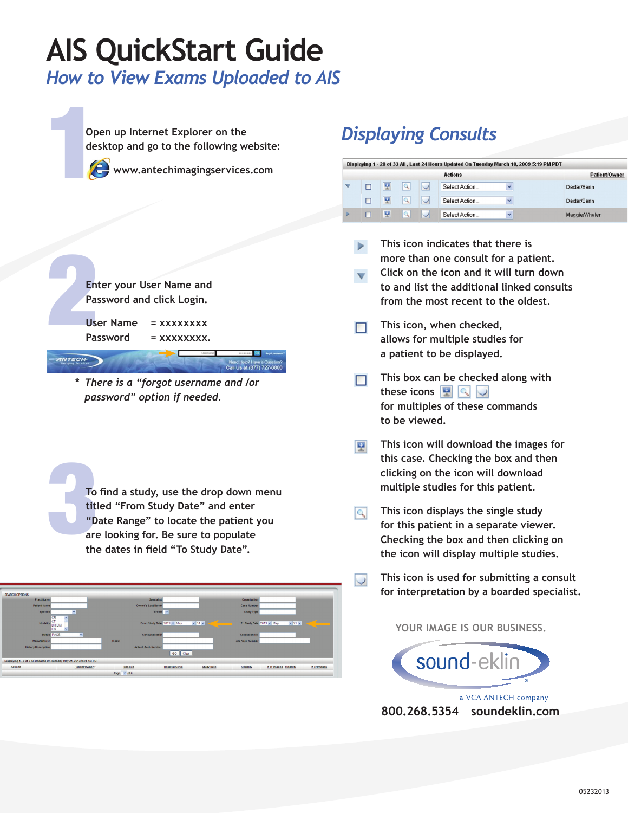# **AIS QuickStart Guide**

*How to View Exams Uploaded to AIS*

op<br>de: **Open up Internet Explorer on the desktop and go to the following website:**



NTECH

**www.antechimagingservices.com**



**User Name = xxxxxxxx** Password = xxxxxxxx.

**\*** *There is a "forgot username and /or password" option if needed.* 

To find a study, use the drop down menu<br>titled "From Study Date" and enter<br>"Date Range" to locate the patient you<br>are looking for. Be sure to populate<br>the dates in field "To Study Date". **titled "From Study Date" and enter "Date Range" to locate the patient you are looking for. Be sure to populate the dates in field "To Study Date".**

| <b>SEARCH OPTIONS</b>                                                 |                         |                  |                            |                        |                   |                          |                      |                  |
|-----------------------------------------------------------------------|-------------------------|------------------|----------------------------|------------------------|-------------------|--------------------------|----------------------|------------------|
| Practitioner                                                          |                         |                  | <b>Specialist</b>          |                        |                   | Organization             |                      |                  |
| <b>Patient Name</b>                                                   |                         |                  | Owner's Last Name          |                        |                   | <b>Case Number</b>       |                      |                  |
| <b>Species</b>                                                        | $\ddot{\mathbf{v}}$     |                  | Breed v                    |                        |                   | <b>Study Type</b>        |                      |                  |
| CR<br>ċт<br><b>Modality</b><br>DR(DX)<br>ES                           | $\overline{\mathbf{v}}$ |                  | From Study Date 2013 v May |                        | $\vee$ 14 $\vee$  | To Study Date 2013 v May |                      | $\vee$ 21 $\vee$ |
| <b>Status PACS</b>                                                    | $\checkmark$            |                  | <b>Consultation ID</b>     |                        |                   | Accession No.            |                      |                  |
| Manufacturer                                                          |                         | <b>Model</b>     |                            |                        |                   | AIS Acct. Number         |                      |                  |
| <b>History/Description</b>                                            |                         |                  | Antech Acct. Number        |                        |                   |                          |                      |                  |
|                                                                       |                         |                  |                            | GO Clear               |                   |                          |                      |                  |
| Displaying 1 - 0 of 0 All Updated On Tuesday May 21, 2013 9:24 AM PDT |                         |                  |                            |                        |                   |                          |                      |                  |
| <b>Actions</b>                                                        | Patient/Owner           | <b>Species</b>   |                            | <b>Hospital/Clinic</b> | <b>Study Date</b> | Modality                 | # of Images Modality | # of Images      |
|                                                                       |                         | Page $\vee$ of 0 |                            |                        |                   |                          |                      |                  |

## *Displaying Consults*

| Displaying 1 - 20 of 33 All, Last 24 Hours Updated On Tuesday March 10, 2009 5:19 PM PDT |               |              |              |               |              |               |  |  |  |  |
|------------------------------------------------------------------------------------------|---------------|--------------|--------------|---------------|--------------|---------------|--|--|--|--|
|                                                                                          | Patient/Owner |              |              |               |              |               |  |  |  |  |
|                                                                                          | 쩆             | $\mathbf{Q}$ | $\vee$       | Select Action | $\checkmark$ | Dexter/Senn   |  |  |  |  |
|                                                                                          | 뿦             | $\mathbf{Q}$ | $\backslash$ | Select Action | $\checkmark$ | Dexter/Senn   |  |  |  |  |
|                                                                                          | 쩆             | $\mathbf{Q}$ |              | Select Action | $\checkmark$ | Maggie/Whalen |  |  |  |  |

**This icon indicates that there is more than one consult for a patient.** 

- **Click on the icon and it will turn down to and list the additional linked consults from the most recent to the oldest.**
- **This icon, when checked, allows for multiple studies for a patient to be displayed.**
- **This box can be checked along with** П **these icons for multiples of these commands to be viewed.**
- **This icon will download the images for**  巫 **this case. Checking the box and then clicking on the icon will download multiple studies for this patient.**
- **This icon displays the single study**   $|Q|$ **for this patient in a separate viewer. Checking the box and then clicking on the icon will display multiple studies.**
	- **This icon is used for submitting a consult for interpretation by a boarded specialist.**

### **YOUR IMAGE IS OUR BUSINESS.**